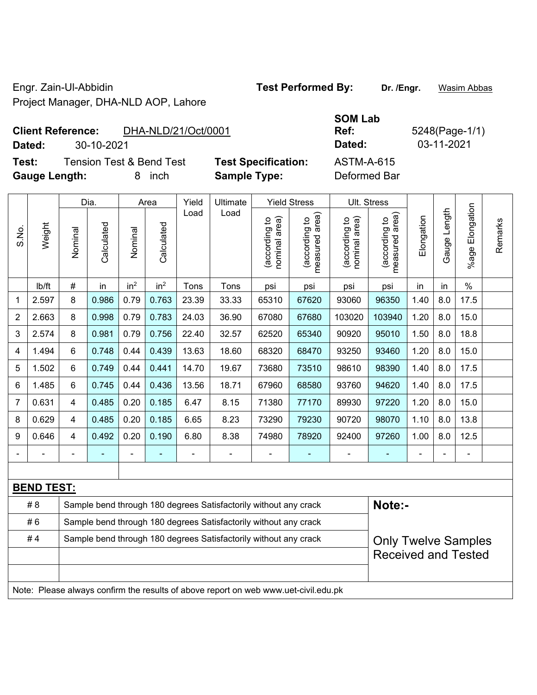Engr. Zain-Ul-Abbidin **Test Performed By: Dr. /Engr.** Wasim Abbas Project Manager, DHA-NLD AOP, Lahore

## **Client Reference:** DHA-NLD/21/Oct/0001

**Dated:** 30-10-2021 **Dated:** 03-11-2021

**Test:** Tension Test & Bend Test **Test Specification:** ASTM-A-615 **Gauge Length:** 8 inch **Sample Type:** Deformed Bar

|                | Weight                                                                              |                | Dia.       | Area            |                 | Yield<br>Ultimate |                                                                  | <b>Yield Stress</b>            |                                             | Ult. Stress                    |                                             |                            |              |                       |         |  |
|----------------|-------------------------------------------------------------------------------------|----------------|------------|-----------------|-----------------|-------------------|------------------------------------------------------------------|--------------------------------|---------------------------------------------|--------------------------------|---------------------------------------------|----------------------------|--------------|-----------------------|---------|--|
| S.No.          |                                                                                     | Nominal        | Calculated | Nominal         | Calculated      | Load              | Load                                                             | nominal area)<br>(according to | (according to<br>measured area)<br>measured | nominal area)<br>(according to | (according to<br>measured area)<br>measured | Elongation                 | Gauge Length | Elongation<br>$%$ age | Remarks |  |
|                | Ib/ft                                                                               | $\#$           | in         | in <sup>2</sup> | in <sup>2</sup> | Tons              | Tons                                                             | psi                            | psi                                         | psi                            | psi                                         | in                         | in           | $\%$                  |         |  |
| 1              | 2.597                                                                               | 8              | 0.986      | 0.79            | 0.763           | 23.39             | 33.33                                                            | 65310                          | 67620                                       | 93060                          | 96350                                       | 1.40                       | 8.0          | 17.5                  |         |  |
| $\overline{2}$ | 2.663                                                                               | 8              | 0.998      | 0.79            | 0.783           | 24.03             | 36.90                                                            | 67080                          | 67680                                       | 103020                         | 103940                                      | 1.20                       | 8.0          | 15.0                  |         |  |
| 3              | 2.574                                                                               | 8              | 0.981      | 0.79            | 0.756           | 22.40             | 32.57                                                            | 62520                          | 65340                                       | 90920                          | 95010                                       | 1.50                       | 8.0          | 18.8                  |         |  |
| 4              | 1.494                                                                               | 6              | 0.748      | 0.44            | 0.439           | 13.63             | 18.60                                                            | 68320                          | 68470                                       | 93250                          | 93460                                       | 1.20                       | 8.0          | 15.0                  |         |  |
| 5              | 1.502                                                                               | $6\phantom{1}$ | 0.749      | 0.44            | 0.441           | 14.70             | 19.67                                                            | 73680                          | 73510                                       | 98610                          | 98390                                       | 1.40                       | 8.0          | 17.5                  |         |  |
| 6              | 1.485                                                                               | $\,6\,$        | 0.745      | 0.44            | 0.436           | 13.56             | 18.71                                                            | 67960                          | 68580                                       | 93760                          | 94620                                       | 1.40                       | 8.0          | 17.5                  |         |  |
| $\overline{7}$ | 0.631                                                                               | 4              | 0.485      | 0.20            | 0.185           | 6.47              | 8.15                                                             | 71380                          | 77170                                       | 89930                          | 97220                                       | 1.20                       | 8.0          | 15.0                  |         |  |
| 8              | 0.629                                                                               | $\overline{4}$ | 0.485      | 0.20            | 0.185           | 6.65              | 8.23                                                             | 73290                          | 79230                                       | 90720                          | 98070                                       | 1.10                       | 8.0          | 13.8                  |         |  |
| 9              | 0.646                                                                               | 4              | 0.492      | 0.20            | 0.190           | 6.80              | 8.38                                                             | 74980                          | 78920                                       | 92400                          | 97260                                       | 1.00                       | 8.0          | 12.5                  |         |  |
| $\blacksquare$ |                                                                                     | Ē,             |            | ÷,              | $\blacksquare$  | $\blacksquare$    | $\frac{1}{2}$                                                    | $\blacksquare$                 | $\blacksquare$                              | $\blacksquare$                 | $\blacksquare$                              | $\blacksquare$             |              | ä,                    |         |  |
|                |                                                                                     |                |            |                 |                 |                   |                                                                  |                                |                                             |                                |                                             |                            |              |                       |         |  |
|                | <b>BEND TEST:</b>                                                                   |                |            |                 |                 |                   |                                                                  |                                |                                             |                                |                                             |                            |              |                       |         |  |
|                | #8                                                                                  |                |            |                 |                 |                   | Sample bend through 180 degrees Satisfactorily without any crack |                                |                                             |                                | Note:-                                      |                            |              |                       |         |  |
|                | #6                                                                                  |                |            |                 |                 |                   | Sample bend through 180 degrees Satisfactorily without any crack |                                |                                             |                                |                                             |                            |              |                       |         |  |
|                | #4                                                                                  |                |            |                 |                 |                   | Sample bend through 180 degrees Satisfactorily without any crack |                                |                                             |                                |                                             | <b>Only Twelve Samples</b> |              |                       |         |  |
|                |                                                                                     |                |            |                 |                 |                   |                                                                  |                                |                                             |                                | <b>Received and Tested</b>                  |                            |              |                       |         |  |
|                |                                                                                     |                |            |                 |                 |                   |                                                                  |                                |                                             |                                |                                             |                            |              |                       |         |  |
|                | Note: Please always confirm the results of above report on web www.uet-civil.edu.pk |                |            |                 |                 |                   |                                                                  |                                |                                             |                                |                                             |                            |              |                       |         |  |

**SOM Lab Ref:** 5248(Page-1/1)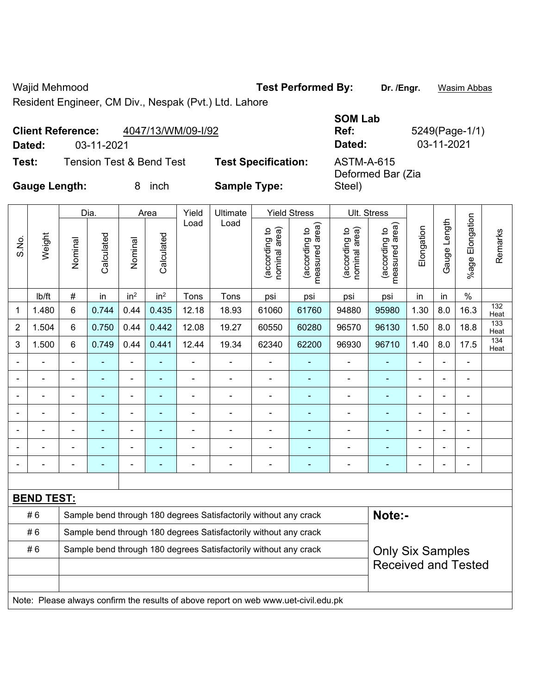Wajid Mehmood **Test Performed By:** Dr. /Engr. **Wasim Abbas** 

Steel)

 $\overline{\mathbf{r}}$ 

٦Ì,

Resident Engineer, CM Div., Nespak (Pvt.) Ltd. Lahore

|        | 4047/13/WM/09-I/92<br><b>Client Reference:</b> |                            | <b>SOM Lab</b><br>Ref:          | 5249(Page-1, |
|--------|------------------------------------------------|----------------------------|---------------------------------|--------------|
| Dated: | 03-11-2021                                     |                            | Dated:                          | 03-11-2021   |
| Test:  | Tension Test & Bend Test                       | <b>Test Specification:</b> | ASTM-A-615<br>Deformed Rar (Zia |              |

**SOM Lab Ref:** 5249(Page-1/1) Deformed Bar (Zia

**Gauge Length:** 8 inch **Sample Type:** 

Т

| Load<br>Load<br>measured area)<br>area)<br>Elongation<br>nominal area)<br>(according to<br>(according to<br>nominal area)<br>(according to<br>(according to<br>Remarks<br>Calculated<br>Calculated<br>Weight<br>S.No.<br>Nominal<br>Nominal<br>measured<br>in <sup>2</sup><br>in <sup>2</sup><br>$\#$<br>$\%$<br>Ib/ft<br>in<br>Tons<br>Tons<br>psi<br>psi<br>in<br>in<br>psi<br>psi<br>132<br>1.30<br>16.3<br>6<br>0.744<br>0.44<br>0.435<br>12.18<br>61760<br>94880<br>8.0<br>1.480<br>18.93<br>61060<br>95980<br>1<br>Heat<br>133<br>1.504<br>6<br>0.750<br>0.44<br>0.442<br>12.08<br>19.27<br>60550<br>60280<br>96570<br>96130<br>1.50<br>8.0<br>18.8<br>2<br>Heat<br>134<br>0.749<br>0.44<br>0.441<br>12.44<br>19.34<br>62200<br>96930<br>8.0<br>17.5<br>3<br>1.500<br>6<br>62340<br>96710<br>1.40<br>Heat<br>÷,<br>÷<br>ä,<br>$\blacksquare$<br>$\blacksquare$<br>÷<br>Ē,<br>$\blacksquare$<br>÷<br>۰<br>ä,<br>ä,<br>$\qquad \qquad \blacksquare$<br>$\blacksquare$<br>$\blacksquare$<br>÷<br>÷<br>$\blacksquare$<br>$\blacksquare$<br>$\blacksquare$<br>$\blacksquare$<br>$\overline{a}$<br>$\overline{\phantom{0}}$<br>ä,<br>$\qquad \qquad \blacksquare$<br>$\blacksquare$<br>$\blacksquare$<br>÷<br>÷<br>$\blacksquare$<br>$\blacksquare$<br>$\overline{\phantom{a}}$<br>$\blacksquare$<br>$\blacksquare$<br>$\blacksquare$<br>$\blacksquare$<br>$\blacksquare$<br>÷<br>Ē,<br>÷<br>-<br>$\blacksquare$<br>Ē,<br>$\overline{\phantom{0}}$<br>۰<br>$\blacksquare$<br>$\blacksquare$<br>$\blacksquare$<br>-<br>$\blacksquare$<br>÷<br>$\blacksquare$<br>$\overline{\phantom{0}}$<br>$\overline{a}$<br>٠<br>$\overline{\phantom{a}}$<br>$\blacksquare$<br>$\overline{a}$<br><b>BEND TEST:</b><br>Note:-<br>#6<br>Sample bend through 180 degrees Satisfactorily without any crack<br>#6<br>Sample bend through 180 degrees Satisfactorily without any crack<br>#6<br>Sample bend through 180 degrees Satisfactorily without any crack<br><b>Only Six Samples</b><br><b>Received and Tested</b><br>Note: Please always confirm the results of above report on web www.uet-civil.edu.pk |  |  | Dia. |  | Area | Yield | Ultimate |  | <b>Yield Stress</b> | Ult. Stress |  |  |              |                 |  |
|---------------------------------------------------------------------------------------------------------------------------------------------------------------------------------------------------------------------------------------------------------------------------------------------------------------------------------------------------------------------------------------------------------------------------------------------------------------------------------------------------------------------------------------------------------------------------------------------------------------------------------------------------------------------------------------------------------------------------------------------------------------------------------------------------------------------------------------------------------------------------------------------------------------------------------------------------------------------------------------------------------------------------------------------------------------------------------------------------------------------------------------------------------------------------------------------------------------------------------------------------------------------------------------------------------------------------------------------------------------------------------------------------------------------------------------------------------------------------------------------------------------------------------------------------------------------------------------------------------------------------------------------------------------------------------------------------------------------------------------------------------------------------------------------------------------------------------------------------------------------------------------------------------------------------------------------------------------------------------------------------------------------------------------------------------------------------------------------|--|--|------|--|------|-------|----------|--|---------------------|-------------|--|--|--------------|-----------------|--|
|                                                                                                                                                                                                                                                                                                                                                                                                                                                                                                                                                                                                                                                                                                                                                                                                                                                                                                                                                                                                                                                                                                                                                                                                                                                                                                                                                                                                                                                                                                                                                                                                                                                                                                                                                                                                                                                                                                                                                                                                                                                                                             |  |  |      |  |      |       |          |  |                     |             |  |  | Gauge Length | %age Elongation |  |
|                                                                                                                                                                                                                                                                                                                                                                                                                                                                                                                                                                                                                                                                                                                                                                                                                                                                                                                                                                                                                                                                                                                                                                                                                                                                                                                                                                                                                                                                                                                                                                                                                                                                                                                                                                                                                                                                                                                                                                                                                                                                                             |  |  |      |  |      |       |          |  |                     |             |  |  |              |                 |  |
|                                                                                                                                                                                                                                                                                                                                                                                                                                                                                                                                                                                                                                                                                                                                                                                                                                                                                                                                                                                                                                                                                                                                                                                                                                                                                                                                                                                                                                                                                                                                                                                                                                                                                                                                                                                                                                                                                                                                                                                                                                                                                             |  |  |      |  |      |       |          |  |                     |             |  |  |              |                 |  |
|                                                                                                                                                                                                                                                                                                                                                                                                                                                                                                                                                                                                                                                                                                                                                                                                                                                                                                                                                                                                                                                                                                                                                                                                                                                                                                                                                                                                                                                                                                                                                                                                                                                                                                                                                                                                                                                                                                                                                                                                                                                                                             |  |  |      |  |      |       |          |  |                     |             |  |  |              |                 |  |
|                                                                                                                                                                                                                                                                                                                                                                                                                                                                                                                                                                                                                                                                                                                                                                                                                                                                                                                                                                                                                                                                                                                                                                                                                                                                                                                                                                                                                                                                                                                                                                                                                                                                                                                                                                                                                                                                                                                                                                                                                                                                                             |  |  |      |  |      |       |          |  |                     |             |  |  |              |                 |  |
|                                                                                                                                                                                                                                                                                                                                                                                                                                                                                                                                                                                                                                                                                                                                                                                                                                                                                                                                                                                                                                                                                                                                                                                                                                                                                                                                                                                                                                                                                                                                                                                                                                                                                                                                                                                                                                                                                                                                                                                                                                                                                             |  |  |      |  |      |       |          |  |                     |             |  |  |              |                 |  |
|                                                                                                                                                                                                                                                                                                                                                                                                                                                                                                                                                                                                                                                                                                                                                                                                                                                                                                                                                                                                                                                                                                                                                                                                                                                                                                                                                                                                                                                                                                                                                                                                                                                                                                                                                                                                                                                                                                                                                                                                                                                                                             |  |  |      |  |      |       |          |  |                     |             |  |  |              |                 |  |
|                                                                                                                                                                                                                                                                                                                                                                                                                                                                                                                                                                                                                                                                                                                                                                                                                                                                                                                                                                                                                                                                                                                                                                                                                                                                                                                                                                                                                                                                                                                                                                                                                                                                                                                                                                                                                                                                                                                                                                                                                                                                                             |  |  |      |  |      |       |          |  |                     |             |  |  |              |                 |  |
|                                                                                                                                                                                                                                                                                                                                                                                                                                                                                                                                                                                                                                                                                                                                                                                                                                                                                                                                                                                                                                                                                                                                                                                                                                                                                                                                                                                                                                                                                                                                                                                                                                                                                                                                                                                                                                                                                                                                                                                                                                                                                             |  |  |      |  |      |       |          |  |                     |             |  |  |              |                 |  |
|                                                                                                                                                                                                                                                                                                                                                                                                                                                                                                                                                                                                                                                                                                                                                                                                                                                                                                                                                                                                                                                                                                                                                                                                                                                                                                                                                                                                                                                                                                                                                                                                                                                                                                                                                                                                                                                                                                                                                                                                                                                                                             |  |  |      |  |      |       |          |  |                     |             |  |  |              |                 |  |
|                                                                                                                                                                                                                                                                                                                                                                                                                                                                                                                                                                                                                                                                                                                                                                                                                                                                                                                                                                                                                                                                                                                                                                                                                                                                                                                                                                                                                                                                                                                                                                                                                                                                                                                                                                                                                                                                                                                                                                                                                                                                                             |  |  |      |  |      |       |          |  |                     |             |  |  |              |                 |  |
|                                                                                                                                                                                                                                                                                                                                                                                                                                                                                                                                                                                                                                                                                                                                                                                                                                                                                                                                                                                                                                                                                                                                                                                                                                                                                                                                                                                                                                                                                                                                                                                                                                                                                                                                                                                                                                                                                                                                                                                                                                                                                             |  |  |      |  |      |       |          |  |                     |             |  |  |              |                 |  |
|                                                                                                                                                                                                                                                                                                                                                                                                                                                                                                                                                                                                                                                                                                                                                                                                                                                                                                                                                                                                                                                                                                                                                                                                                                                                                                                                                                                                                                                                                                                                                                                                                                                                                                                                                                                                                                                                                                                                                                                                                                                                                             |  |  |      |  |      |       |          |  |                     |             |  |  |              |                 |  |
|                                                                                                                                                                                                                                                                                                                                                                                                                                                                                                                                                                                                                                                                                                                                                                                                                                                                                                                                                                                                                                                                                                                                                                                                                                                                                                                                                                                                                                                                                                                                                                                                                                                                                                                                                                                                                                                                                                                                                                                                                                                                                             |  |  |      |  |      |       |          |  |                     |             |  |  |              |                 |  |
|                                                                                                                                                                                                                                                                                                                                                                                                                                                                                                                                                                                                                                                                                                                                                                                                                                                                                                                                                                                                                                                                                                                                                                                                                                                                                                                                                                                                                                                                                                                                                                                                                                                                                                                                                                                                                                                                                                                                                                                                                                                                                             |  |  |      |  |      |       |          |  |                     |             |  |  |              |                 |  |
|                                                                                                                                                                                                                                                                                                                                                                                                                                                                                                                                                                                                                                                                                                                                                                                                                                                                                                                                                                                                                                                                                                                                                                                                                                                                                                                                                                                                                                                                                                                                                                                                                                                                                                                                                                                                                                                                                                                                                                                                                                                                                             |  |  |      |  |      |       |          |  |                     |             |  |  |              |                 |  |
|                                                                                                                                                                                                                                                                                                                                                                                                                                                                                                                                                                                                                                                                                                                                                                                                                                                                                                                                                                                                                                                                                                                                                                                                                                                                                                                                                                                                                                                                                                                                                                                                                                                                                                                                                                                                                                                                                                                                                                                                                                                                                             |  |  |      |  |      |       |          |  |                     |             |  |  |              |                 |  |
|                                                                                                                                                                                                                                                                                                                                                                                                                                                                                                                                                                                                                                                                                                                                                                                                                                                                                                                                                                                                                                                                                                                                                                                                                                                                                                                                                                                                                                                                                                                                                                                                                                                                                                                                                                                                                                                                                                                                                                                                                                                                                             |  |  |      |  |      |       |          |  |                     |             |  |  |              |                 |  |
|                                                                                                                                                                                                                                                                                                                                                                                                                                                                                                                                                                                                                                                                                                                                                                                                                                                                                                                                                                                                                                                                                                                                                                                                                                                                                                                                                                                                                                                                                                                                                                                                                                                                                                                                                                                                                                                                                                                                                                                                                                                                                             |  |  |      |  |      |       |          |  |                     |             |  |  |              |                 |  |
|                                                                                                                                                                                                                                                                                                                                                                                                                                                                                                                                                                                                                                                                                                                                                                                                                                                                                                                                                                                                                                                                                                                                                                                                                                                                                                                                                                                                                                                                                                                                                                                                                                                                                                                                                                                                                                                                                                                                                                                                                                                                                             |  |  |      |  |      |       |          |  |                     |             |  |  |              |                 |  |